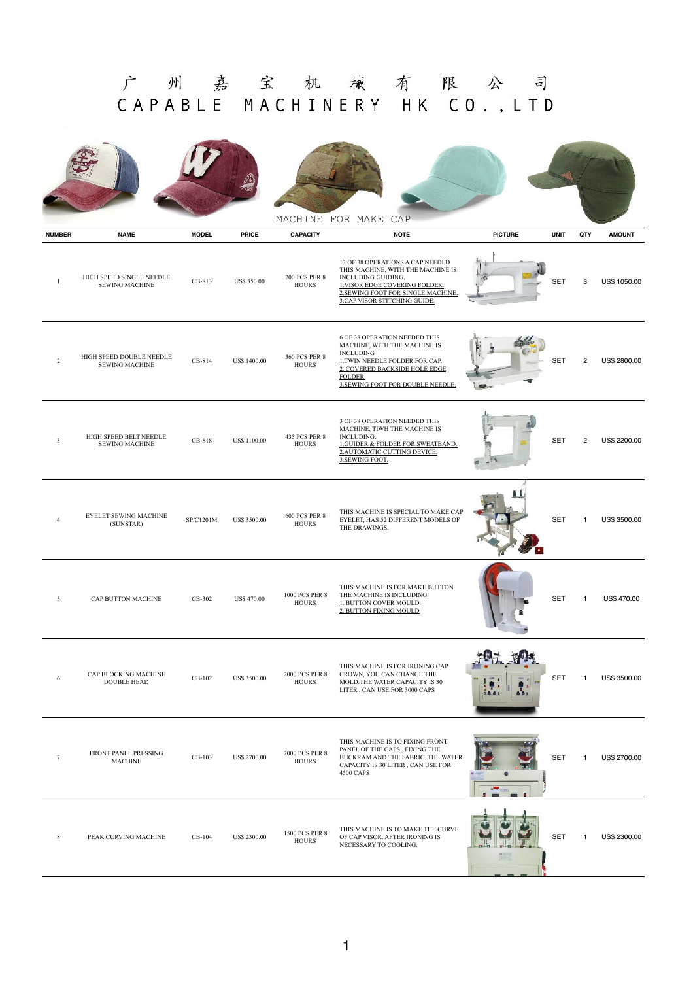## 广州嘉宝机械有限公司 CAPABLE MACHINERY HK CO., LTD

|                         |                                                   |              |                     | MACHINE                              | FOR MAKE<br>CAP                                                                                                                                                                                           |                |             |              |                    |
|-------------------------|---------------------------------------------------|--------------|---------------------|--------------------------------------|-----------------------------------------------------------------------------------------------------------------------------------------------------------------------------------------------------------|----------------|-------------|--------------|--------------------|
| <b>NUMBER</b>           | <b>NAME</b>                                       | <b>MODEL</b> | <b>PRICE</b>        | <b>CAPACITY</b>                      | <b>NOTE</b>                                                                                                                                                                                               | <b>PICTURE</b> | <b>UNIT</b> | QTY          | <b>AMOUNT</b>      |
| $\mathbf{1}$            | HIGH SPEED SINGLE NEEDLE<br><b>SEWING MACHINE</b> | CB-813       | <b>US\$ 350.00</b>  | <b>200 PCS PER 8</b><br><b>HOURS</b> | 13 OF 38 OPERATIONS A CAP NEEDED<br>THIS MACHINE, WITH THE MACHINE IS<br>INCLUDING GUIDING.<br>1. VISOR EDGE COVERING FOLDER.<br>2. SEWING FOOT FOR SINGLE MACHINE.<br>3.CAP VISOR STITCHING GUIDE.       |                | <b>SET</b>  | 3            | US\$ 1050.00       |
| $\overline{2}$          | HIGH SPEED DOUBLE NEEDLE<br><b>SEWING MACHINE</b> | CB-814       | US\$ 1400.00        | <b>360 PCS PER 8</b><br><b>HOURS</b> | <b>6 OF 38 OPERATION NEEDED THIS</b><br>MACHINE, WITH THE MACHINE IS<br><b>INCLUDING</b><br>1.TWIN NEEDLE FOLDER FOR CAP.<br>2. COVERED BACKSIDE HOLE EDGE<br>FOLDER.<br>3.SEWING FOOT FOR DOUBLE NEEDLE. |                | <b>SET</b>  | 2            | US\$ 2800.00       |
| $\overline{\mathbf{3}}$ | HIGH SPEED BELT NEEDLE<br><b>SEWING MACHINE</b>   | CB-818       | <b>US\$ 1100.00</b> | 435 PCS PER 8<br><b>HOURS</b>        | 3 OF 38 OPERATION NEEDED THIS<br>MACHINE, TIWH THE MACHINE IS<br>INCLUDING.<br><b>1.GUIDER &amp; FOLDER FOR SWEATBAND.</b><br>2. AUTOMATIC CUTTING DEVICE.<br>3.SEWING FOOT.                              |                | <b>SET</b>  | 2            | US\$ 2200.00       |
| $\overline{4}$          | <b>EYELET SEWING MACHINE</b><br>(SUNSTAR)         | SP/C1201M    | <b>US\$ 3500.00</b> | <b>600 PCS PER 8</b><br><b>HOURS</b> | THIS MACHINE IS SPECIAL TO MAKE CAP<br>EYELET, HAS 52 DIFFERENT MODELS OF<br>THE DRAWINGS.                                                                                                                |                | <b>SET</b>  | $\mathbf{1}$ | US\$ 3500.00       |
| 5                       | CAP BUTTON MACHINE                                | CB-302       | <b>US\$ 470.00</b>  | 1000 PCS PER 8<br><b>HOURS</b>       | THIS MACHINE IS FOR MAKE BUTTON.<br>THE MACHINE IS INCLUDING.<br>1. BUTTON COVER MOULD<br>2. BUTTON FIXING MOULD                                                                                          |                | <b>SET</b>  | $\mathbf{1}$ | <b>US\$ 470.00</b> |
| 6                       | CAP BLOCKING MACHINE<br><b>DOUBLE HEAD</b>        | CB-102       | <b>US\$ 3500.00</b> | 2000 PCS PER 8<br><b>HOURS</b>       | THIS MACHINE IS FOR IRONING CAP<br>CROWN, YOU CAN CHANGE THE<br>MOLD.THE WATER CAPACITY IS 30<br>LITER, CAN USE FOR 3000 CAPS                                                                             |                | <b>SET</b>  | -1           | US\$ 3500.00       |
| 7                       | FRONT PANEL PRESSING<br>MACHINE                   | CB-103       | <b>US\$ 2700.00</b> | 2000 PCS PER 8<br><b>HOURS</b>       | THIS MACHINE IS TO FIXING FRONT<br>PANEL OF THE CAPS, FIXING THE<br>BUCKRAM AND THE FABRIC. THE WATER<br>CAPACITY IS 30 LITER, CAN USE FOR<br>4500 CAPS                                                   |                | <b>SET</b>  | -1           | US\$ 2700.00       |
| 8                       | PEAK CURVING MACHINE                              | CB-104       | US\$ 2300.00        | 1500 PCS PER 8<br><b>HOURS</b>       | THIS MACHINE IS TO MAKE THE CURVE<br>OF CAP VISOR. AFTER IRONING IS<br>NECESSARY TO COOLING.                                                                                                              |                | <b>SET</b>  | -1           | US\$ 2300.00       |